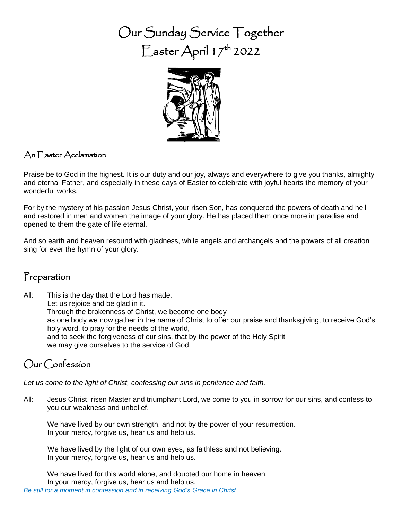Our Sunday Service Together  $\overline{\Gamma}$ aster April 17<sup>th</sup> 2022



#### An Easter Acclamation

Praise be to God in the highest. It is our duty and our joy, always and everywhere to give you thanks, almighty and eternal Father, and especially in these days of Easter to celebrate with joyful hearts the memory of your wonderful works.

For by the mystery of his passion Jesus Christ, your risen Son, has conquered the powers of death and hell and restored in men and women the image of your glory. He has placed them once more in paradise and opened to them the gate of life eternal.

And so earth and heaven resound with gladness, while angels and archangels and the powers of all creation sing for ever the hymn of your glory.

#### Preparation

All: This is the day that the Lord has made. Let us rejoice and be glad in it. Through the brokenness of Christ, we become one body as one body we now gather in the name of Christ to offer our praise and thanksgiving, to receive God's holy word, to pray for the needs of the world, and to seek the forgiveness of our sins, that by the power of the Holy Spirit we may give ourselves to the service of God.

# Our Confession

*Let us come to the light of Christ, confessing our sins in penitence and faith.*

All: Jesus Christ, risen Master and triumphant Lord, we come to you in sorrow for our sins, and confess to you our weakness and unbelief.

We have lived by our own strength, and not by the power of your resurrection. In your mercy, forgive us, hear us and help us.

We have lived by the light of our own eyes, as faithless and not believing. In your mercy, forgive us, hear us and help us.

We have lived for this world alone, and doubted our home in heaven. In your mercy, forgive us, hear us and help us. *Be still for a moment in confession and in receiving God's Grace in Christ*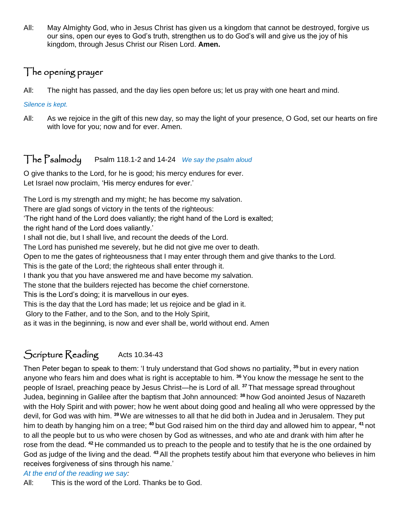All: May Almighty God, who in Jesus Christ has given us a kingdom that cannot be destroyed, forgive us our sins, open our eyes to God's truth, strengthen us to do God's will and give us the joy of his kingdom, through Jesus Christ our Risen Lord. **Amen.**

### The opening prayer

All: The night has passed, and the day lies open before us; let us pray with one heart and mind.

*Silence is kept.*

All: As we rejoice in the gift of this new day, so may the light of your presence, O God, set our hearts on fire with love for you; now and for ever. Amen.

#### The Psalmody Psalm 118.1-2 and 14-24 *We say the psalm aloud*

O give thanks to the Lord, for he is good; his mercy endures for ever. Let Israel now proclaim, 'His mercy endures for ever.'

The Lord is my strength and my might; he has become my salvation.

There are glad songs of victory in the tents of the righteous:

'The right hand of the Lord does valiantly; the right hand of the Lord is exalted;

the right hand of the Lord does valiantly.'

I shall not die, but I shall live, and recount the deeds of the Lord.

The Lord has punished me severely, but he did not give me over to death.

Open to me the gates of righteousness that I may enter through them and give thanks to the Lord.

This is the gate of the Lord; the righteous shall enter through it.

I thank you that you have answered me and have become my salvation.

The stone that the builders rejected has become the chief cornerstone.

This is the Lord's doing; it is marvellous in our eyes.

This is the day that the Lord has made; let us rejoice and be glad in it.

Glory to the Father, and to the Son, and to the Holy Spirit,

as it was in the beginning, is now and ever shall be, world without end. Amen

# Scripture Reading Acts 10.34-43

Then Peter began to speak to them: 'I truly understand that God shows no partiality, **<sup>35</sup>** but in every nation anyone who fears him and does what is right is acceptable to him. **<sup>36</sup>** You know the message he sent to the people of Israel, preaching peace by Jesus Christ—he is Lord of all. **<sup>37</sup>** That message spread throughout Judea, beginning in Galilee after the baptism that John announced: **<sup>38</sup>** how God anointed Jesus of Nazareth with the Holy Spirit and with power; how he went about doing good and healing all who were oppressed by the devil, for God was with him. <sup>39</sup> We are witnesses to all that he did both in Judea and in Jerusalem. They put him to death by hanging him on a tree; **<sup>40</sup>** but God raised him on the third day and allowed him to appear, **<sup>41</sup>** not to all the people but to us who were chosen by God as witnesses, and who ate and drank with him after he rose from the dead. **<sup>42</sup>** He commanded us to preach to the people and to testify that he is the one ordained by God as judge of the living and the dead. **<sup>43</sup>** All the prophets testify about him that everyone who believes in him receives forgiveness of sins through his name.'

#### *At the end of the reading we say:*

All: This is the word of the Lord. Thanks be to God.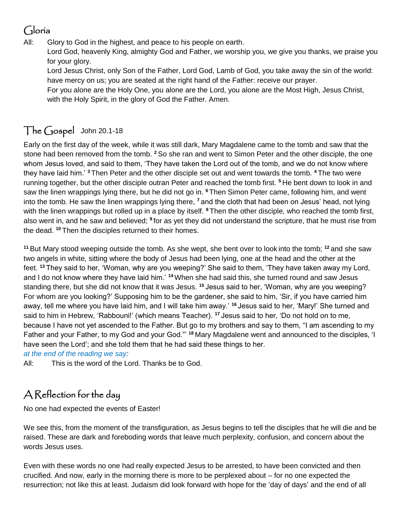# Gloria

All: Glory to God in the highest, and peace to his people on earth.

Lord God, heavenly King, almighty God and Father, we worship you, we give you thanks, we praise you for your glory.

Lord Jesus Christ, only Son of the Father, Lord God, Lamb of God, you take away the sin of the world: have mercy on us; you are seated at the right hand of the Father: receive our prayer.

For you alone are the Holy One, you alone are the Lord, you alone are the Most High, Jesus Christ, with the Holy Spirit, in the glory of God the Father. Amen.

# The Gospel John 20.1-18

Early on the first day of the week, while it was still dark, Mary Magdalene came to the tomb and saw that the stone had been removed from the tomb. **<sup>2</sup>** So she ran and went to Simon Peter and the other disciple, the one whom Jesus loved, and said to them, 'They have taken the Lord out of the tomb, and we do not know where they have laid him.' **<sup>3</sup>** Then Peter and the other disciple set out and went towards the tomb. **<sup>4</sup>** The two were running together, but the other disciple outran Peter and reached the tomb first. **<sup>5</sup>** He bent down to look in and saw the linen wrappings lying there, but he did not go in. **<sup>6</sup>** Then Simon Peter came, following him, and went into the tomb. He saw the linen wrappings lying there, **<sup>7</sup>** and the cloth that had been on Jesus' head, not lying with the linen wrappings but rolled up in a place by itself. **<sup>8</sup>** Then the other disciple, who reached the tomb first, also went in, and he saw and believed; **<sup>9</sup>** for as yet they did not understand the scripture, that he must rise from the dead. **<sup>10</sup>** Then the disciples returned to their homes.

**<sup>11</sup>** But Mary stood weeping outside the tomb. As she wept, she bent over to look into the tomb; **<sup>12</sup>** and she saw two angels in white, sitting where the body of Jesus had been lying, one at the head and the other at the feet. **<sup>13</sup>** They said to her, 'Woman, why are you weeping?' She said to them, 'They have taken away my Lord, and I do not know where they have laid him.' **<sup>14</sup>**When she had said this, she turned round and saw Jesus standing there, but she did not know that it was Jesus. **<sup>15</sup>** Jesus said to her, 'Woman, why are you weeping? For whom are you looking?' Supposing him to be the gardener, she said to him, 'Sir, if you have carried him away, tell me where you have laid him, and I will take him away.' **<sup>16</sup>** Jesus said to her, 'Mary!' She turned and said to him in Hebrew, 'Rabbouni!' (which means Teacher). **<sup>17</sup>** Jesus said to her, 'Do not hold on to me, because I have not yet ascended to the Father. But go to my brothers and say to them, "I am ascending to my Father and your Father, to my God and your God."' **<sup>18</sup>** Mary Magdalene went and announced to the disciples, 'I have seen the Lord'; and she told them that he had said these things to her.

*at the end of the reading we say:*

All: This is the word of the Lord. Thanks be to God.

# A Reflection for the day

No one had expected the events of Easter!

We see this, from the moment of the transfiguration, as Jesus begins to tell the disciples that he will die and be raised. These are dark and foreboding words that leave much perplexity, confusion, and concern about the words Jesus uses.

Even with these words no one had really expected Jesus to be arrested, to have been convicted and then crucified. And now, early in the morning there is more to be perplexed about – for no one expected the resurrection; not like this at least. Judaism did look forward with hope for the 'day of days' and the end of all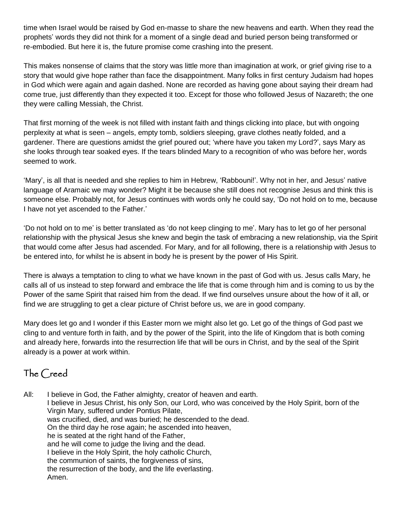time when Israel would be raised by God en-masse to share the new heavens and earth. When they read the prophets' words they did not think for a moment of a single dead and buried person being transformed or re-embodied. But here it is, the future promise come crashing into the present.

This makes nonsense of claims that the story was little more than imagination at work, or grief giving rise to a story that would give hope rather than face the disappointment. Many folks in first century Judaism had hopes in God which were again and again dashed. None are recorded as having gone about saying their dream had come true, just differently than they expected it too. Except for those who followed Jesus of Nazareth; the one they were calling Messiah, the Christ.

That first morning of the week is not filled with instant faith and things clicking into place, but with ongoing perplexity at what is seen – angels, empty tomb, soldiers sleeping, grave clothes neatly folded, and a gardener. There are questions amidst the grief poured out; 'where have you taken my Lord?', says Mary as she looks through tear soaked eyes. If the tears blinded Mary to a recognition of who was before her, words seemed to work.

'Mary', is all that is needed and she replies to him in Hebrew, 'Rabbouni!'. Why not in her, and Jesus' native language of Aramaic we may wonder? Might it be because she still does not recognise Jesus and think this is someone else. Probably not, for Jesus continues with words only he could say, 'Do not hold on to me, because I have not yet ascended to the Father.'

'Do not hold on to me' is better translated as 'do not keep clinging to me'. Mary has to let go of her personal relationship with the physical Jesus she knew and begin the task of embracing a new relationship, via the Spirit that would come after Jesus had ascended. For Mary, and for all following, there is a relationship with Jesus to be entered into, for whilst he is absent in body he is present by the power of His Spirit.

There is always a temptation to cling to what we have known in the past of God with us. Jesus calls Mary, he calls all of us instead to step forward and embrace the life that is come through him and is coming to us by the Power of the same Spirit that raised him from the dead. If we find ourselves unsure about the how of it all, or find we are struggling to get a clear picture of Christ before us, we are in good company.

Mary does let go and I wonder if this Easter morn we might also let go. Let go of the things of God past we cling to and venture forth in faith, and by the power of the Spirit, into the life of Kingdom that is both coming and already here, forwards into the resurrection life that will be ours in Christ, and by the seal of the Spirit already is a power at work within.

# The Creed

All: I believe in God, the Father almighty, creator of heaven and earth. I believe in Jesus Christ, his only Son, our Lord, who was conceived by the Holy Spirit, born of the Virgin Mary, suffered under Pontius Pilate, was crucified, died, and was buried; he descended to the dead. On the third day he rose again; he ascended into heaven, he is seated at the right hand of the Father, and he will come to judge the living and the dead. I believe in the Holy Spirit, the holy catholic Church, the communion of saints, the forgiveness of sins, the resurrection of the body, and the life everlasting. Amen.